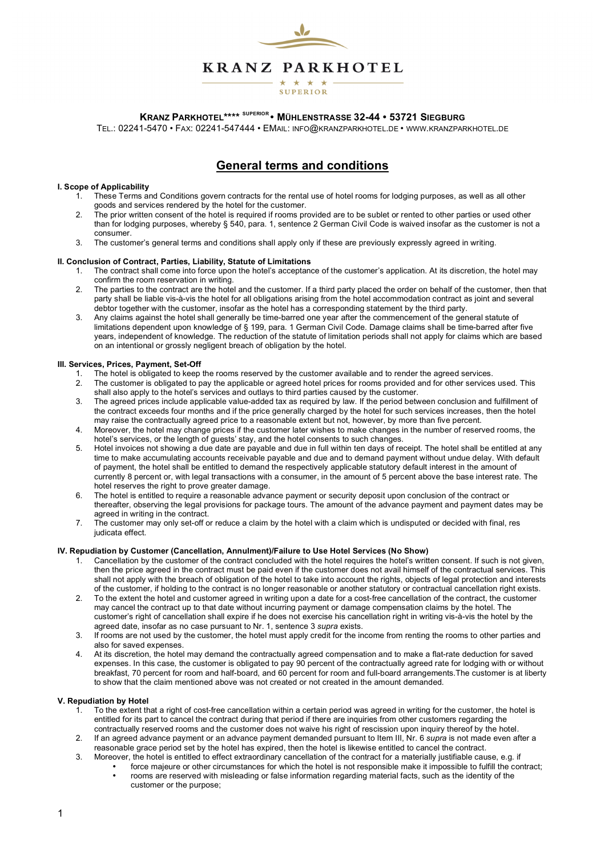

### **KRANZ PARKHOTEL\*\*\*\* SUPERIOR • MÜHLENSTRASSE 32-44 • 53721 SIEGBURG**

TEL.: 02241-5470 • FAX: 02241-547444 • EMAIL: INFO@KRANZPARKHOTEL.DE • WWW.KRANZPARKHOTEL.DE

# **General terms and conditions**

#### **I. Scope of Applicability**

- 1. These Terms and Conditions govern contracts for the rental use of hotel rooms for lodging purposes, as well as all other goods and services rendered by the hotel for the customer.
- 2. The prior written consent of the hotel is required if rooms provided are to be sublet or rented to other parties or used other than for lodging purposes, whereby § 540, para. 1, sentence 2 German Civil Code is waived insofar as the customer is not a consumer.
- 3. The customer's general terms and conditions shall apply only if these are previously expressly agreed in writing.

#### **II. Conclusion of Contract, Parties, Liability, Statute of Limitations**

- 1. The contract shall come into force upon the hotel's acceptance of the customer's application. At its discretion, the hotel may confirm the room reservation in writing.
- 2. The parties to the contract are the hotel and the customer. If a third party placed the order on behalf of the customer, then that party shall be liable vis-à-vis the hotel for all obligations arising from the hotel accommodation contract as joint and several debtor together with the customer, insofar as the hotel has a corresponding statement by the third party.
- 3. Any claims against the hotel shall generally be time-barred one year after the commencement of the general statute of limitations dependent upon knowledge of § 199, para. 1 German Civil Code. Damage claims shall be time-barred after five years, independent of knowledge. The reduction of the statute of limitation periods shall not apply for claims which are based on an intentional or grossly negligent breach of obligation by the hotel.

#### **III. Services, Prices, Payment, Set-Off**

- 1. The hotel is obligated to keep the rooms reserved by the customer available and to render the agreed services.<br>2. The customer is obligated to pay the applicable or agreed botel prices for rooms provided and for other s
- 2. The customer is obligated to pay the applicable or agreed hotel prices for rooms provided and for other services used. This shall also apply to the hotel's services and outlays to third parties caused by the customer.
- 3. The agreed prices include applicable value-added tax as required by law. If the period between conclusion and fulfillment of the contract exceeds four months and if the price generally charged by the hotel for such services increases, then the hotel may raise the contractually agreed price to a reasonable extent but not, however, by more than five percent.
- 4. Moreover, the hotel may change prices if the customer later wishes to make changes in the number of reserved rooms, the hotel's services, or the length of guests' stay, and the hotel consents to such changes.
- 5. Hotel invoices not showing a due date are payable and due in full within ten days of receipt. The hotel shall be entitled at any time to make accumulating accounts receivable payable and due and to demand payment without undue delay. With default of payment, the hotel shall be entitled to demand the respectively applicable statutory default interest in the amount of currently 8 percent or, with legal transactions with a consumer, in the amount of 5 percent above the base interest rate. The hotel reserves the right to prove greater damage.
- 6. The hotel is entitled to require a reasonable advance payment or security deposit upon conclusion of the contract or thereafter, observing the legal provisions for package tours. The amount of the advance payment and payment dates may be agreed in writing in the contract.
- 7. The customer may only set-off or reduce a claim by the hotel with a claim which is undisputed or decided with final, res judicata effect.

#### **IV. Repudiation by Customer (Cancellation, Annulment)/Failure to Use Hotel Services (No Show)**

- 1. Cancellation by the customer of the contract concluded with the hotel requires the hotel's written consent. If such is not given, then the price agreed in the contract must be paid even if the customer does not avail himself of the contractual services. This shall not apply with the breach of obligation of the hotel to take into account the rights, objects of legal protection and interests of the customer, if holding to the contract is no longer reasonable or another statutory or contractual cancellation right exists.
- 2. To the extent the hotel and customer agreed in writing upon a date for a cost-free cancellation of the contract, the customer may cancel the contract up to that date without incurring payment or damage compensation claims by the hotel. The customer's right of cancellation shall expire if he does not exercise his cancellation right in writing vis-à-vis the hotel by the agreed date, insofar as no case pursuant to Nr. 1, sentence 3 *supra* exists.
- 3. If rooms are not used by the customer, the hotel must apply credit for the income from renting the rooms to other parties and also for saved expenses.
- 4. At its discretion, the hotel may demand the contractually agreed compensation and to make a flat-rate deduction for saved expenses. In this case, the customer is obligated to pay 90 percent of the contractually agreed rate for lodging with or without breakfast, 70 percent for room and half-board, and 60 percent for room and full-board arrangements.The customer is at liberty to show that the claim mentioned above was not created or not created in the amount demanded.

#### **V. Repudiation by Hotel**

- 1. To the extent that a right of cost-free cancellation within a certain period was agreed in writing for the customer, the hotel is entitled for its part to cancel the contract during that period if there are inquiries from other customers regarding the contractually reserved rooms and the customer does not waive his right of rescission upon inquiry thereof by the hotel.
- 2. If an agreed advance payment or an advance payment demanded pursuant to Item III, Nr. 6 *supra* is not made even after a reasonable grace period set by the hotel has expired, then the hotel is likewise entitled to cancel the contract.
- 3. Moreover, the hotel is entitled to effect extraordinary cancellation of the contract for a materially justifiable cause, e.g. if • force majeure or other circumstances for which the hotel is not responsible make it impossible to fulfill the contract;
	- rooms are reserved with misleading or false information regarding material facts, such as the identity of the customer or the purpose;